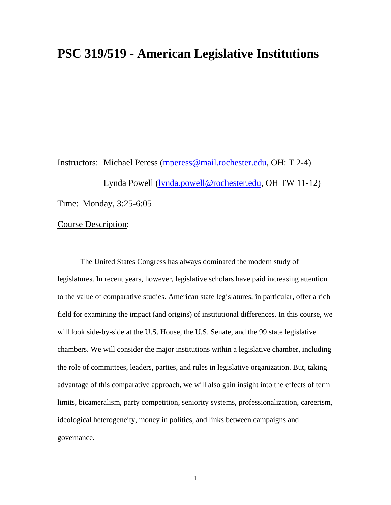# **PSC 319/519 - American Legislative Institutions**

Instructors: Michael Peress [\(mperess@mail.rochester.edu](mailto:mperess@mail.rochester.edu), OH: T 2-4) Lynda Powell [\(lynda.powell@rochester.edu,](mailto:lynda.powell@rochester.edu) OH TW 11-12) Time: Monday, 3:25-6:05

## Course Description:

 The United States Congress has always dominated the modern study of legislatures. In recent years, however, legislative scholars have paid increasing attention to the value of comparative studies. American state legislatures, in particular, offer a rich field for examining the impact (and origins) of institutional differences. In this course, we will look side-by-side at the U.S. House, the U.S. Senate, and the 99 state legislative chambers. We will consider the major institutions within a legislative chamber, including the role of committees, leaders, parties, and rules in legislative organization. But, taking advantage of this comparative approach, we will also gain insight into the effects of term limits, bicameralism, party competition, seniority systems, professionalization, careerism, ideological heterogeneity, money in politics, and links between campaigns and governance.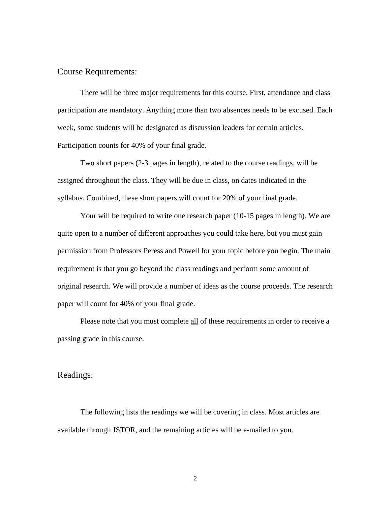## Course Requirements:

 There will be three major requirements for this course. First, attendance and class participation are mandatory. Anything more than two absences needs to be excused. Each week, some students will be designated as discussion leaders for certain articles. Participation counts for 40% of your final grade.

 Two short papers (2-3 pages in length), related to the course readings, will be assigned throughout the class. They will be due in class, on dates indicated in the syllabus. Combined, these short papers will count for 20% of your final grade.

 Your will be required to write one research paper (10-15 pages in length). We are quite open to a number of different approaches you could take here, but you must gain permission from Professors Peress and Powell for your topic before you begin. The main requirement is that you go beyond the class readings and perform some amount of original research. We will provide a number of ideas as the course proceeds. The research paper will count for 40% of your final grade.

Please note that you must complete all of these requirements in order to receive a passing grade in this course.

### Readings:

 The following lists the readings we will be covering in class. Most articles are available through JSTOR, and the remaining articles will be e-mailed to you.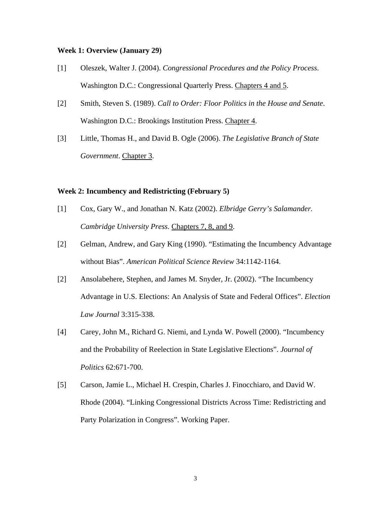#### **Week 1: Overview (January 29)**

- [1] Oleszek, Walter J. (2004). *Congressional Procedures and the Policy Process*. Washington D.C.: Congressional Quarterly Press. Chapters 4 and 5.
- [2] Smith, Steven S. (1989). *Call to Order: Floor Politics in the House and Senate*. Washington D.C.: Brookings Institution Press. Chapter 4.
- [3] Little, Thomas H., and David B. Ogle (2006). *The Legislative Branch of State Government*. Chapter 3.

#### **Week 2: Incumbency and Redistricting (February 5)**

- [1] Cox, Gary W., and Jonathan N. Katz (2002). *Elbridge Gerry's Salamander. Cambridge University Press*. Chapters 7, 8, and 9.
- [2] Gelman, Andrew, and Gary King (1990). "Estimating the Incumbency Advantage without Bias". *American Political Science Review* 34:1142-1164.
- [2] Ansolabehere, Stephen, and James M. Snyder, Jr. (2002). "The Incumbency Advantage in U.S. Elections: An Analysis of State and Federal Offices". *Election Law Journal* 3:315-338.
- [4] Carey, John M., Richard G. Niemi, and Lynda W. Powell (2000). "Incumbency and the Probability of Reelection in State Legislative Elections". *Journal of Politics* 62:671-700.
- [5] Carson, Jamie L., Michael H. Crespin, Charles J. Finocchiaro, and David W. Rhode (2004). "Linking Congressional Districts Across Time: Redistricting and Party Polarization in Congress". Working Paper.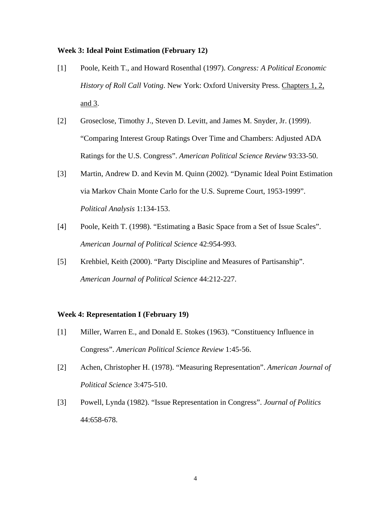#### **Week 3: Ideal Point Estimation (February 12)**

- [1] Poole, Keith T., and Howard Rosenthal (1997). *Congress: A Political Economic History of Roll Call Voting*. New York: Oxford University Press. Chapters 1, 2, and 3.
- [2] Groseclose, Timothy J., Steven D. Levitt, and James M. Snyder, Jr. (1999). "Comparing Interest Group Ratings Over Time and Chambers: Adjusted ADA Ratings for the U.S. Congress". *American Political Science Review* 93:33-50.
- [3] Martin, Andrew D. and Kevin M. Quinn (2002). "Dynamic Ideal Point Estimation via Markov Chain Monte Carlo for the U.S. Supreme Court, 1953-1999". *Political Analysis* 1:134-153.
- [4] Poole, Keith T. (1998). "Estimating a Basic Space from a Set of Issue Scales". *American Journal of Political Science* 42:954-993.
- [5] Krehbiel, Keith (2000). "Party Discipline and Measures of Partisanship". *American Journal of Political Science* 44:212-227.

#### **Week 4: Representation I (February 19)**

- [1] Miller, Warren E., and Donald E. Stokes (1963). "Constituency Influence in Congress". *American Political Science Review* 1:45-56.
- [2] Achen, Christopher H. (1978). "Measuring Representation". *American Journal of Political Science* 3:475-510.
- [3] Powell, Lynda (1982). "Issue Representation in Congress". *Journal of Politics* 44:658-678.